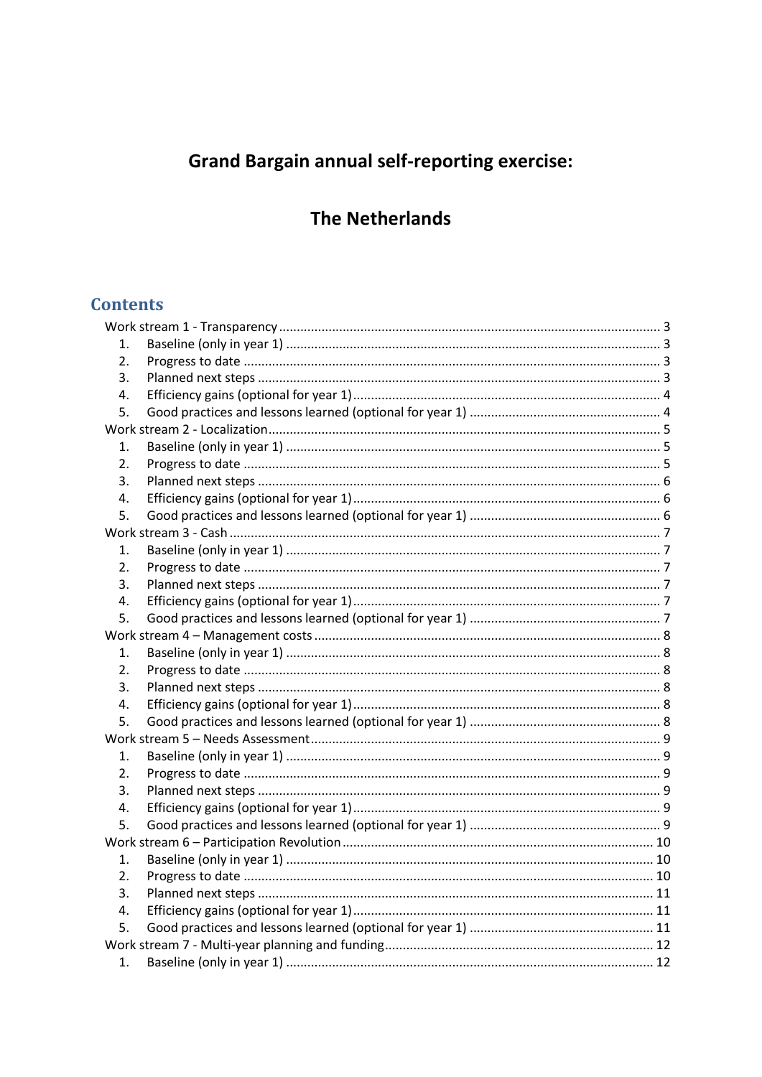# **Grand Bargain annual self-reporting exercise:**

## **The Netherlands**

## **Contents**

| 1. |  |
|----|--|
| 2. |  |
| 3. |  |
| 4. |  |
| 5. |  |
|    |  |
| 1. |  |
| 2. |  |
| 3. |  |
| 4. |  |
| 5. |  |
|    |  |
| 1. |  |
| 2. |  |
| 3. |  |
| 4. |  |
| 5. |  |
|    |  |
| 1. |  |
| 2. |  |
| 3. |  |
| 4. |  |
| 5. |  |
|    |  |
| 1. |  |
| 2. |  |
| 3. |  |
| 4. |  |
| 5. |  |
|    |  |
| 1. |  |
| 2. |  |
| 3. |  |
| 4. |  |
| 5. |  |
|    |  |
| 1. |  |
|    |  |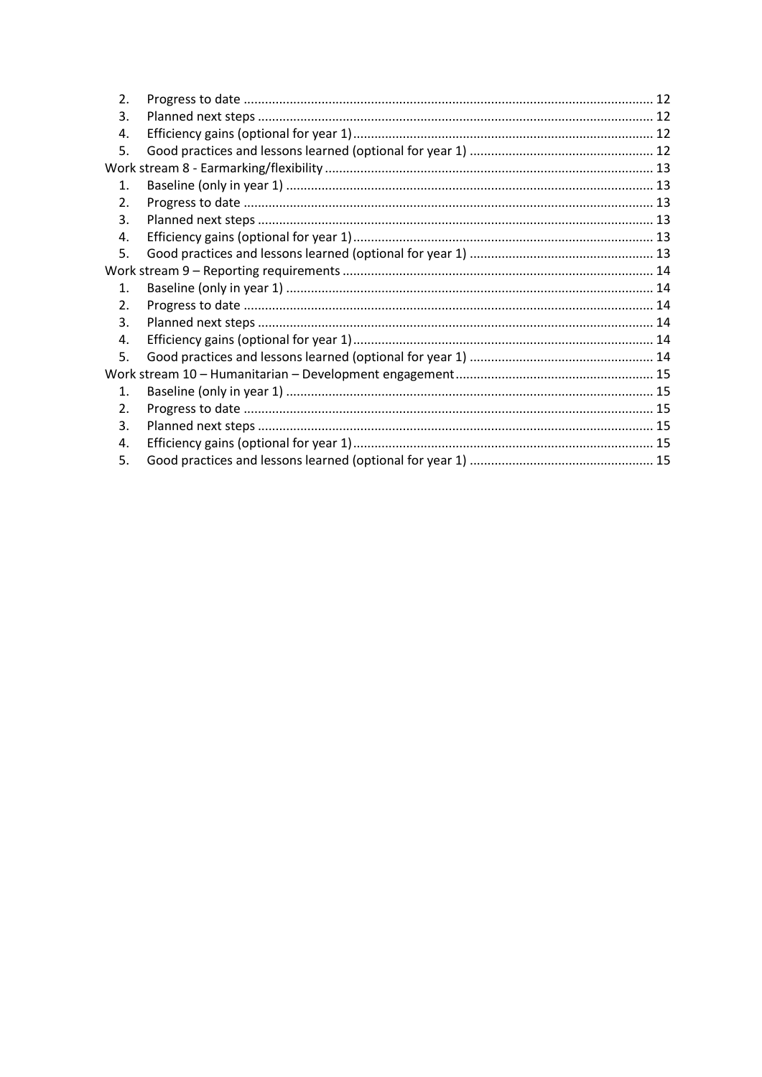| $\overline{2}$ . |  |  |
|------------------|--|--|
| 3.               |  |  |
| 4.               |  |  |
| 5.               |  |  |
|                  |  |  |
| $1_{-}$          |  |  |
| 2.               |  |  |
| 3.               |  |  |
| 4.               |  |  |
| 5.               |  |  |
|                  |  |  |
| 1 <sub>1</sub>   |  |  |
| 2.               |  |  |
| 3.               |  |  |
| 4.               |  |  |
| 5.               |  |  |
|                  |  |  |
| $\mathbf{1}$ .   |  |  |
| 2.               |  |  |
| 3.               |  |  |
| 4.               |  |  |
| 5.               |  |  |
|                  |  |  |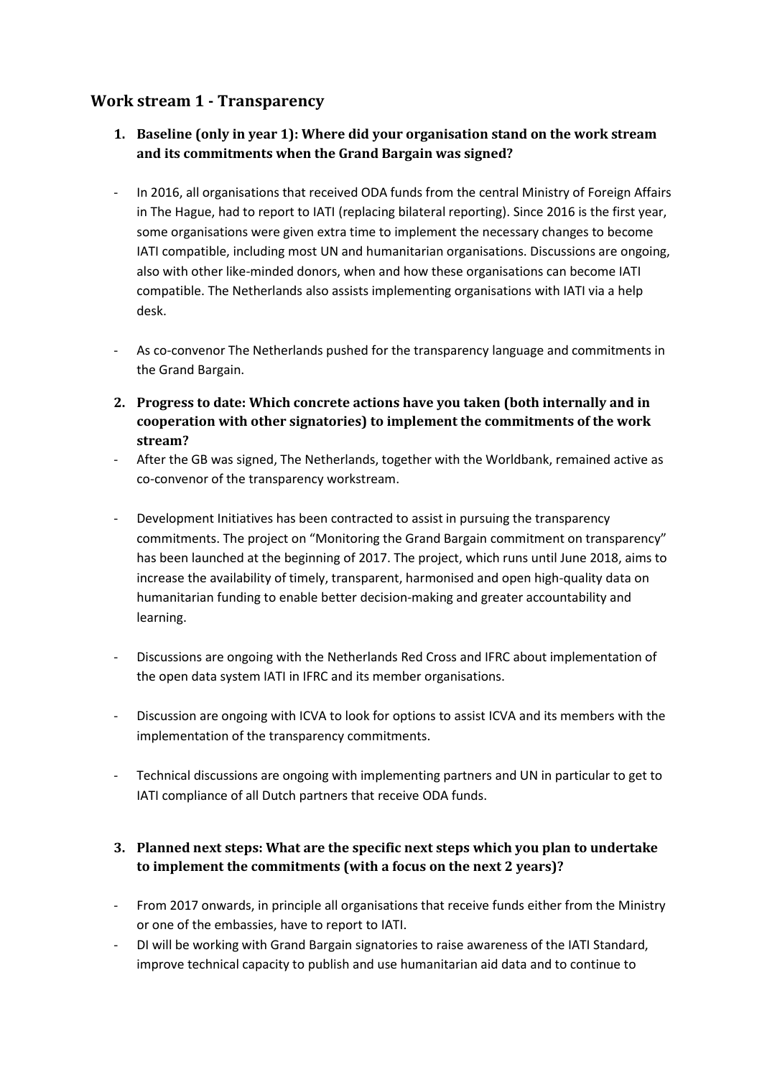### <span id="page-2-1"></span><span id="page-2-0"></span>**Work stream 1 - Transparency**

- **1. Baseline (only in year 1): Where did your organisation stand on the work stream and its commitments when the Grand Bargain was signed?**
- In 2016, all organisations that received ODA funds from the central Ministry of Foreign Affairs in The Hague, had to report to IATI (replacing bilateral reporting). Since 2016 is the first year, some organisations were given extra time to implement the necessary changes to become IATI compatible, including most UN and humanitarian organisations. Discussions are ongoing, also with other like-minded donors, when and how these organisations can become IATI compatible. The Netherlands also assists implementing organisations with IATI via a help desk.
- As co-convenor The Netherlands pushed for the transparency language and commitments in the Grand Bargain.
- <span id="page-2-2"></span>**2. Progress to date: Which concrete actions have you taken (both internally and in cooperation with other signatories) to implement the commitments of the work stream?**
- After the GB was signed, The Netherlands, together with the Worldbank, remained active as co-convenor of the transparency workstream.
- Development Initiatives has been contracted to assist in pursuing the transparency commitments. The project on "Monitoring the Grand Bargain commitment on transparency" has been launched at the beginning of 2017. The project, which runs until June 2018, aims to increase the availability of timely, transparent, harmonised and open high-quality data on humanitarian funding to enable better decision-making and greater accountability and learning.
- Discussions are ongoing with the Netherlands Red Cross and IFRC about implementation of the open data system IATI in IFRC and its member organisations.
- Discussion are ongoing with ICVA to look for options to assist ICVA and its members with the implementation of the transparency commitments.
- Technical discussions are ongoing with implementing partners and UN in particular to get to IATI compliance of all Dutch partners that receive ODA funds.

#### <span id="page-2-3"></span>**3. Planned next steps: What are the specific next steps which you plan to undertake to implement the commitments (with a focus on the next 2 years)?**

- From 2017 onwards, in principle all organisations that receive funds either from the Ministry or one of the embassies, have to report to IATI.
- DI will be working with Grand Bargain signatories to raise awareness of the IATI Standard, improve technical capacity to publish and use humanitarian aid data and to continue to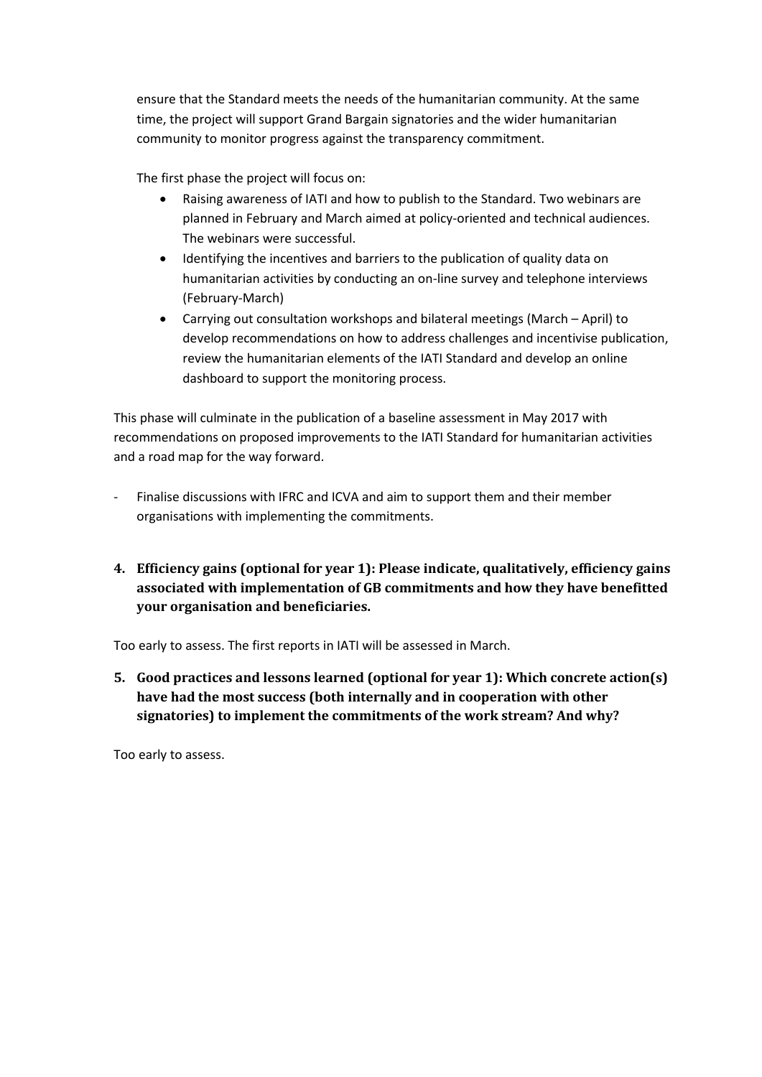ensure that the Standard meets the needs of the humanitarian community. At the same time, the project will support Grand Bargain signatories and the wider humanitarian community to monitor progress against the transparency commitment.

The first phase the project will focus on:

- Raising awareness of IATI and how to publish to the Standard. Two webinars are planned in February and March aimed at policy-oriented and technical audiences. The webinars were successful.
- Identifying the incentives and barriers to the publication of quality data on humanitarian activities by conducting an on-line survey and telephone interviews (February-March)
- Carrying out consultation workshops and bilateral meetings (March April) to develop recommendations on how to address challenges and incentivise publication, review the humanitarian elements of the IATI Standard and develop an online dashboard to support the monitoring process.

This phase will culminate in the publication of a baseline assessment in May 2017 with recommendations on proposed improvements to the IATI Standard for humanitarian activities and a road map for the way forward.

- Finalise discussions with IFRC and ICVA and aim to support them and their member organisations with implementing the commitments.
- <span id="page-3-0"></span>**4. Efficiency gains (optional for year 1): Please indicate, qualitatively, efficiency gains associated with implementation of GB commitments and how they have benefitted your organisation and beneficiaries.**

Too early to assess. The first reports in IATI will be assessed in March.

<span id="page-3-1"></span>**5. Good practices and lessons learned (optional for year 1): Which concrete action(s) have had the most success (both internally and in cooperation with other signatories) to implement the commitments of the work stream? And why?**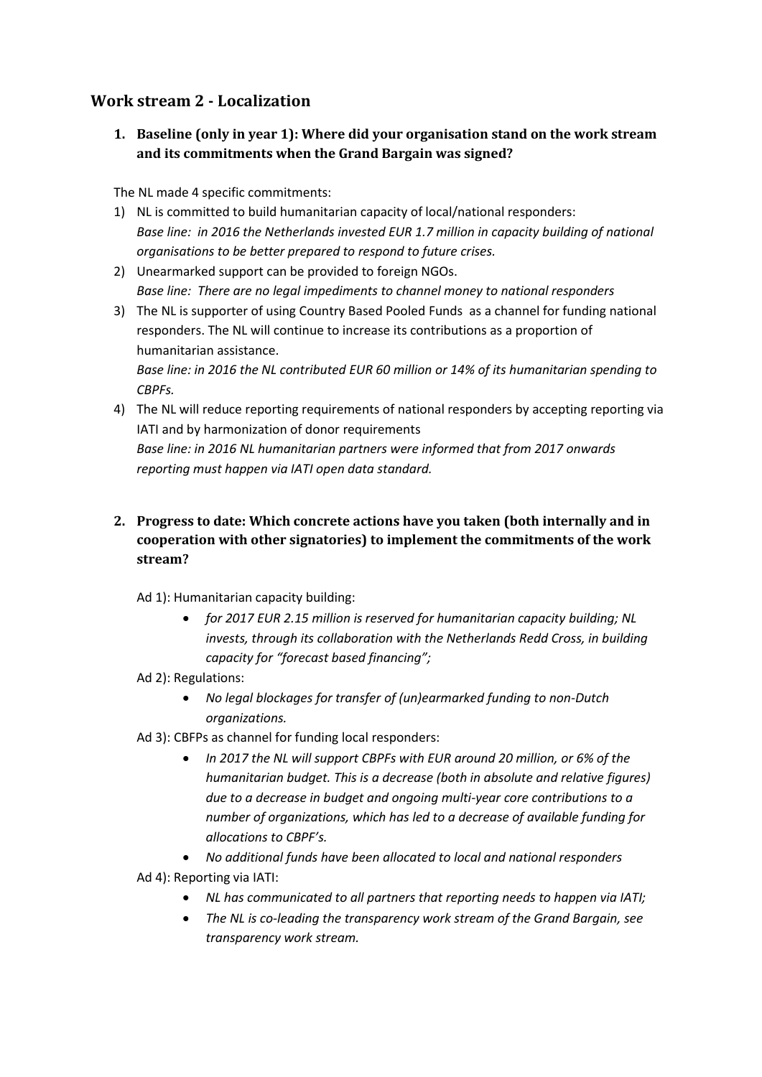## <span id="page-4-1"></span><span id="page-4-0"></span>**Work stream 2 - Localization**

**1. Baseline (only in year 1): Where did your organisation stand on the work stream and its commitments when the Grand Bargain was signed?**

The NL made 4 specific commitments:

- 1) NL is committed to build humanitarian capacity of local/national responders: *Base line: in 2016 the Netherlands invested EUR 1.7 million in capacity building of national organisations to be better prepared to respond to future crises.*
- 2) Unearmarked support can be provided to foreign NGOs. *Base line: There are no legal impediments to channel money to national responders*
- 3) The NL is supporter of using Country Based Pooled Funds as a channel for funding national responders. The NL will continue to increase its contributions as a proportion of humanitarian assistance.

*Base line: in 2016 the NL contributed EUR 60 million or 14% of its humanitarian spending to CBPFs.*

- 4) The NL will reduce reporting requirements of national responders by accepting reporting via IATI and by harmonization of donor requirements *Base line: in 2016 NL humanitarian partners were informed that from 2017 onwards reporting must happen via IATI open data standard.*
- <span id="page-4-2"></span>**2. Progress to date: Which concrete actions have you taken (both internally and in cooperation with other signatories) to implement the commitments of the work stream?**

Ad 1): Humanitarian capacity building:

- *for 2017 EUR 2.15 million is reserved for humanitarian capacity building; NL invests, through its collaboration with the Netherlands Redd Cross, in building capacity for "forecast based financing";*
- Ad 2): Regulations:
	- *No legal blockages for transfer of (un)earmarked funding to non-Dutch organizations.*
- Ad 3): CBFPs as channel for funding local responders:
	- *In 2017 the NL will support CBPFs with EUR around 20 million, or 6% of the humanitarian budget. This is a decrease (both in absolute and relative figures) due to a decrease in budget and ongoing multi-year core contributions to a number of organizations, which has led to a decrease of available funding for allocations to CBPF's.*

 *No additional funds have been allocated to local and national responders* Ad 4): Reporting via IATI:

- *NL has communicated to all partners that reporting needs to happen via IATI;*
- *The NL is co-leading the transparency work stream of the Grand Bargain, see transparency work stream.*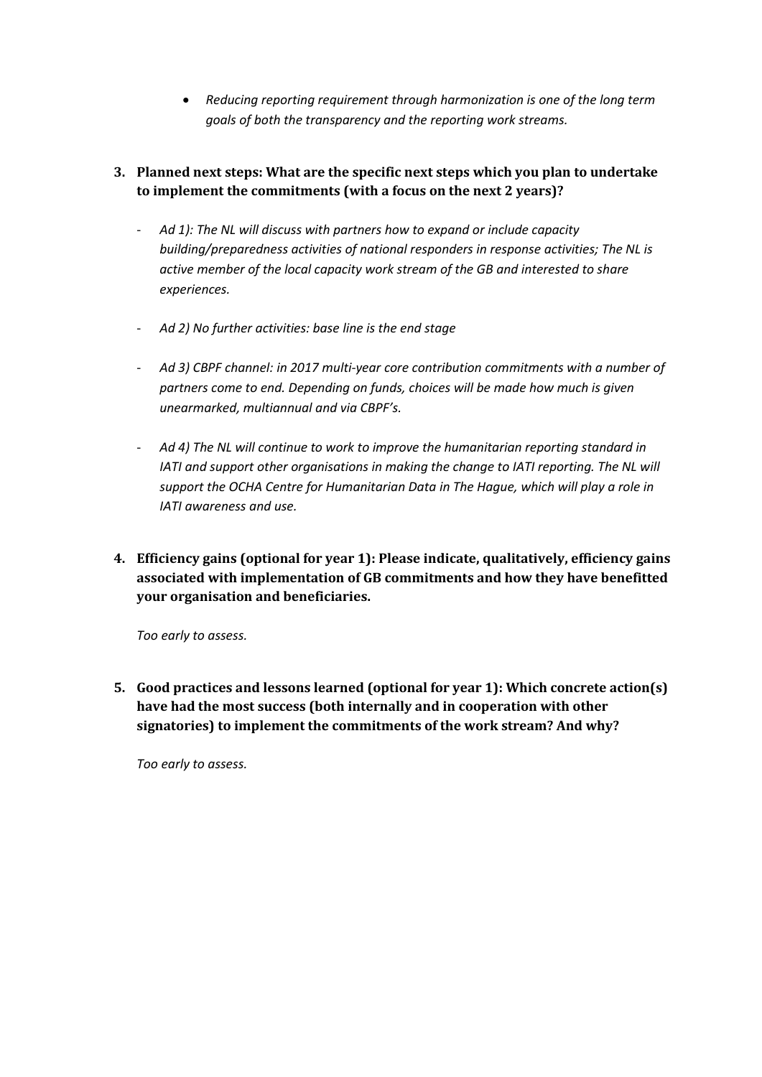- *Reducing reporting requirement through harmonization is one of the long term goals of both the transparency and the reporting work streams.*
- <span id="page-5-0"></span>**3. Planned next steps: What are the specific next steps which you plan to undertake to implement the commitments (with a focus on the next 2 years)?**
	- *Ad 1): The NL will discuss with partners how to expand or include capacity building/preparedness activities of national responders in response activities; The NL is active member of the local capacity work stream of the GB and interested to share experiences.*
	- *Ad 2) No further activities: base line is the end stage*
	- *Ad 3) CBPF channel: in 2017 multi-year core contribution commitments with a number of partners come to end. Depending on funds, choices will be made how much is given unearmarked, multiannual and via CBPF's.*
	- *Ad 4) The NL will continue to work to improve the humanitarian reporting standard in IATI and support other organisations in making the change to IATI reporting. The NL will support the OCHA Centre for Humanitarian Data in The Hague, which will play a role in IATI awareness and use.*
- <span id="page-5-1"></span>**4. Efficiency gains (optional for year 1): Please indicate, qualitatively, efficiency gains associated with implementation of GB commitments and how they have benefitted your organisation and beneficiaries.**

*Too early to assess.*

<span id="page-5-2"></span>**5. Good practices and lessons learned (optional for year 1): Which concrete action(s) have had the most success (both internally and in cooperation with other signatories) to implement the commitments of the work stream? And why?**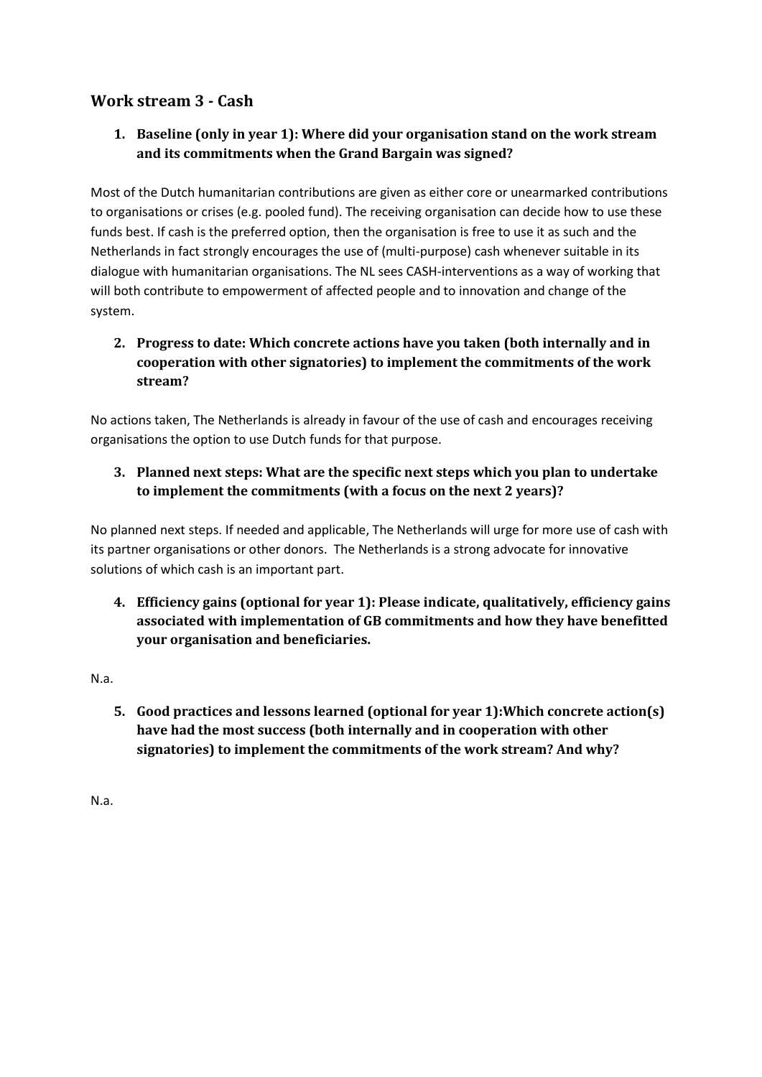## <span id="page-6-1"></span><span id="page-6-0"></span>**Work stream 3 - Cash**

#### **1. Baseline (only in year 1): Where did your organisation stand on the work stream and its commitments when the Grand Bargain was signed?**

Most of the Dutch humanitarian contributions are given as either core or unearmarked contributions to organisations or crises (e.g. pooled fund). The receiving organisation can decide how to use these funds best. If cash is the preferred option, then the organisation is free to use it as such and the Netherlands in fact strongly encourages the use of (multi-purpose) cash whenever suitable in its dialogue with humanitarian organisations. The NL sees CASH-interventions as a way of working that will both contribute to empowerment of affected people and to innovation and change of the system.

#### <span id="page-6-2"></span>**2. Progress to date: Which concrete actions have you taken (both internally and in cooperation with other signatories) to implement the commitments of the work stream?**

No actions taken, The Netherlands is already in favour of the use of cash and encourages receiving organisations the option to use Dutch funds for that purpose.

#### <span id="page-6-3"></span>**3. Planned next steps: What are the specific next steps which you plan to undertake to implement the commitments (with a focus on the next 2 years)?**

No planned next steps. If needed and applicable, The Netherlands will urge for more use of cash with its partner organisations or other donors. The Netherlands is a strong advocate for innovative solutions of which cash is an important part.

<span id="page-6-4"></span>**4. Efficiency gains (optional for year 1): Please indicate, qualitatively, efficiency gains associated with implementation of GB commitments and how they have benefitted your organisation and beneficiaries.**

<span id="page-6-5"></span>N.a.

**5. Good practices and lessons learned (optional for year 1):Which concrete action(s) have had the most success (both internally and in cooperation with other signatories) to implement the commitments of the work stream? And why?**

N.a.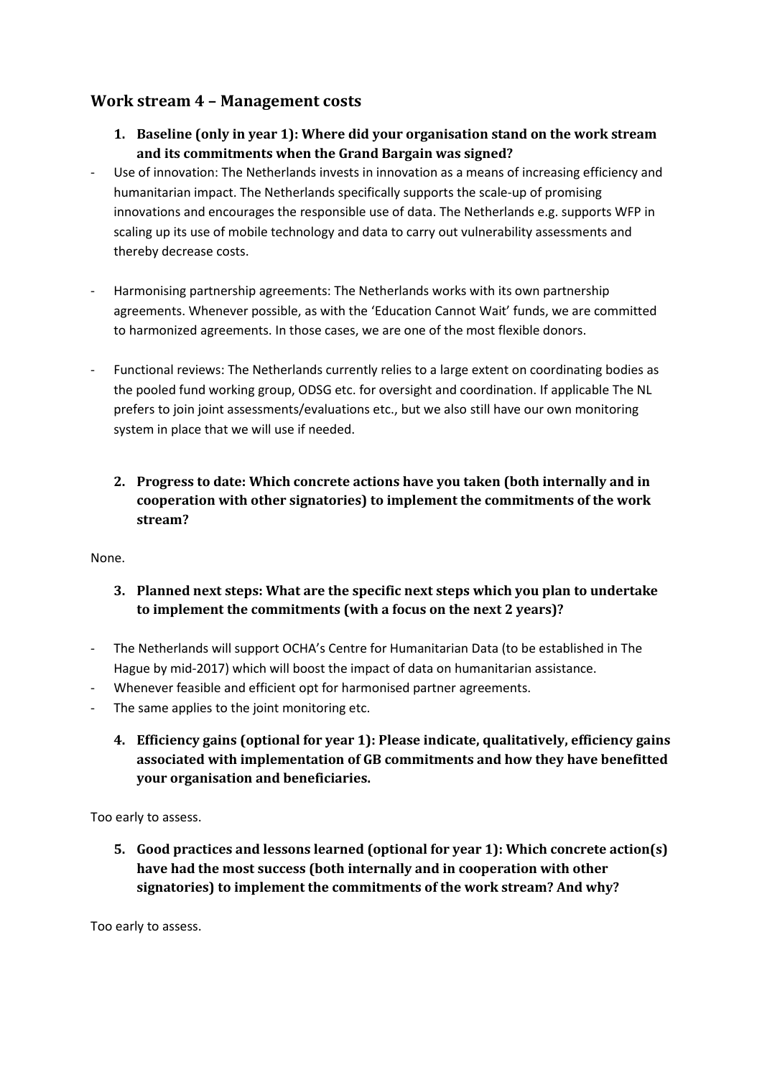#### <span id="page-7-1"></span><span id="page-7-0"></span>**Work stream 4 – Management costs**

- **1. Baseline (only in year 1): Where did your organisation stand on the work stream and its commitments when the Grand Bargain was signed?**
- Use of innovation: The Netherlands invests in innovation as a means of increasing efficiency and humanitarian impact. The Netherlands specifically supports the scale-up of promising innovations and encourages the responsible use of data. The Netherlands e.g. supports WFP in scaling up its use of mobile technology and data to carry out vulnerability assessments and thereby decrease costs.
- Harmonising partnership agreements: The Netherlands works with its own partnership agreements. Whenever possible, as with the 'Education Cannot Wait' funds, we are committed to harmonized agreements. In those cases, we are one of the most flexible donors.
- Functional reviews: The Netherlands currently relies to a large extent on coordinating bodies as the pooled fund working group, ODSG etc. for oversight and coordination. If applicable The NL prefers to join joint assessments/evaluations etc., but we also still have our own monitoring system in place that we will use if needed.
	- **2. Progress to date: Which concrete actions have you taken (both internally and in cooperation with other signatories) to implement the commitments of the work stream?**

<span id="page-7-3"></span><span id="page-7-2"></span>None.

- **3. Planned next steps: What are the specific next steps which you plan to undertake to implement the commitments (with a focus on the next 2 years)?**
- The Netherlands will support OCHA's Centre for Humanitarian Data (to be established in The Hague by mid-2017) which will boost the impact of data on humanitarian assistance.
- Whenever feasible and efficient opt for harmonised partner agreements.
- <span id="page-7-4"></span>The same applies to the joint monitoring etc.
	- **4. Efficiency gains (optional for year 1): Please indicate, qualitatively, efficiency gains associated with implementation of GB commitments and how they have benefitted your organisation and beneficiaries.**

<span id="page-7-5"></span>Too early to assess.

**5. Good practices and lessons learned (optional for year 1): Which concrete action(s) have had the most success (both internally and in cooperation with other signatories) to implement the commitments of the work stream? And why?**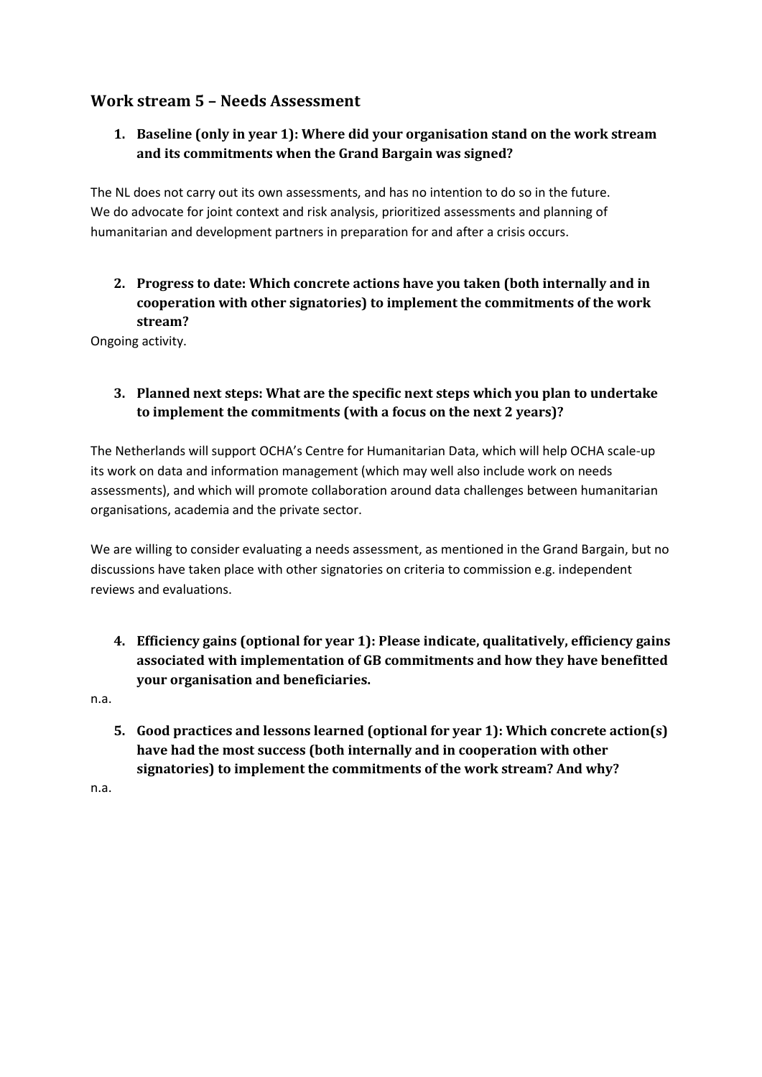## <span id="page-8-1"></span><span id="page-8-0"></span>**Work stream 5 – Needs Assessment**

#### **1. Baseline (only in year 1): Where did your organisation stand on the work stream and its commitments when the Grand Bargain was signed?**

The NL does not carry out its own assessments, and has no intention to do so in the future. We do advocate for joint context and risk analysis, prioritized assessments and planning of humanitarian and development partners in preparation for and after a crisis occurs.

<span id="page-8-2"></span>**2. Progress to date: Which concrete actions have you taken (both internally and in cooperation with other signatories) to implement the commitments of the work stream?** 

Ongoing activity.

#### <span id="page-8-3"></span>**3. Planned next steps: What are the specific next steps which you plan to undertake to implement the commitments (with a focus on the next 2 years)?**

The Netherlands will support OCHA's Centre for Humanitarian Data, which will help OCHA scale-up its work on data and information management (which may well also include work on needs assessments), and which will promote collaboration around data challenges between humanitarian organisations, academia and the private sector.

We are willing to consider evaluating a needs assessment, as mentioned in the Grand Bargain, but no discussions have taken place with other signatories on criteria to commission e.g. independent reviews and evaluations.

<span id="page-8-4"></span>**4. Efficiency gains (optional for year 1): Please indicate, qualitatively, efficiency gains associated with implementation of GB commitments and how they have benefitted your organisation and beneficiaries.**

<span id="page-8-5"></span>n.a.

**5. Good practices and lessons learned (optional for year 1): Which concrete action(s) have had the most success (both internally and in cooperation with other signatories) to implement the commitments of the work stream? And why?**

n.a.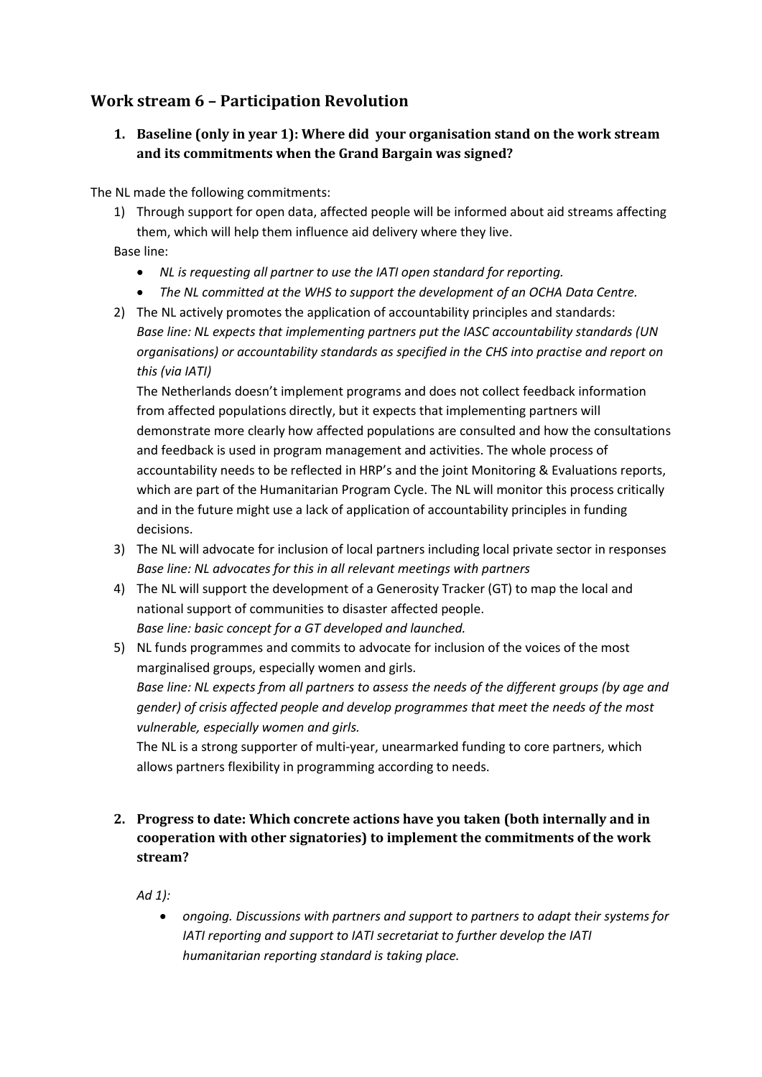## <span id="page-9-1"></span><span id="page-9-0"></span>**Work stream 6 – Participation Revolution**

#### **1. Baseline (only in year 1): Where did your organisation stand on the work stream and its commitments when the Grand Bargain was signed?**

The NL made the following commitments:

1) Through support for open data, affected people will be informed about aid streams affecting them, which will help them influence aid delivery where they live.

Base line:

- *NL is requesting all partner to use the IATI open standard for reporting.*
- *The NL committed at the WHS to support the development of an OCHA Data Centre.*
- 2) The NL actively promotes the application of accountability principles and standards: *Base line: NL expects that implementing partners put the IASC accountability standards (UN organisations) or accountability standards as specified in the CHS into practise and report on this (via IATI)*

The Netherlands doesn't implement programs and does not collect feedback information from affected populations directly, but it expects that implementing partners will demonstrate more clearly how affected populations are consulted and how the consultations and feedback is used in program management and activities. The whole process of accountability needs to be reflected in HRP's and the joint Monitoring & Evaluations reports, which are part of the Humanitarian Program Cycle. The NL will monitor this process critically and in the future might use a lack of application of accountability principles in funding decisions.

- 3) The NL will advocate for inclusion of local partners including local private sector in responses *Base line: NL advocates for this in all relevant meetings with partners*
- 4) The NL will support the development of a Generosity Tracker (GT) to map the local and national support of communities to disaster affected people. *Base line: basic concept for a GT developed and launched.*
- 5) NL funds programmes and commits to advocate for inclusion of the voices of the most marginalised groups, especially women and girls. *Base line: NL expects from all partners to assess the needs of the different groups (by age and gender) of crisis affected people and develop programmes that meet the needs of the most vulnerable, especially women and girls.*

The NL is a strong supporter of multi-year, unearmarked funding to core partners, which allows partners flexibility in programming according to needs.

<span id="page-9-2"></span>**2. Progress to date: Which concrete actions have you taken (both internally and in cooperation with other signatories) to implement the commitments of the work stream?** 

*Ad 1):* 

 *ongoing. Discussions with partners and support to partners to adapt their systems for IATI reporting and support to IATI secretariat to further develop the IATI humanitarian reporting standard is taking place.*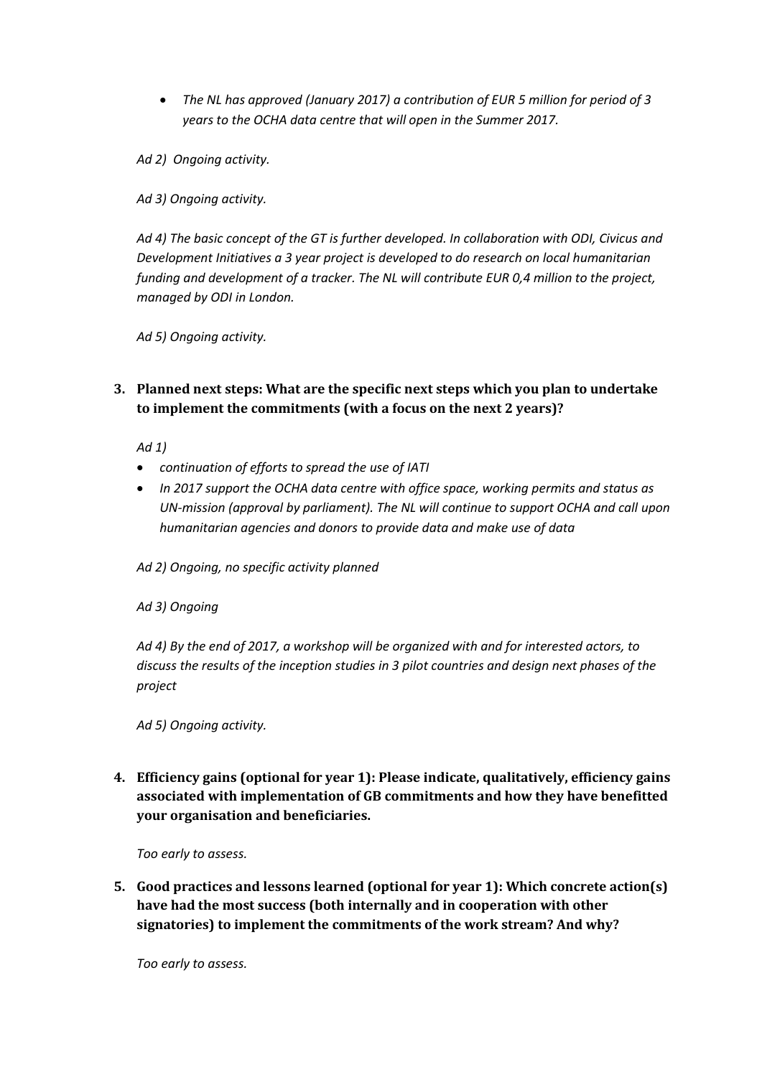*The NL has approved (January 2017) a contribution of EUR 5 million for period of 3 years to the OCHA data centre that will open in the Summer 2017.*

*Ad 2) Ongoing activity.* 

*Ad 3) Ongoing activity.*

*Ad 4) The basic concept of the GT is further developed. In collaboration with ODI, Civicus and Development Initiatives a 3 year project is developed to do research on local humanitarian funding and development of a tracker. The NL will contribute EUR 0,4 million to the project, managed by ODI in London.* 

*Ad 5) Ongoing activity.*

<span id="page-10-0"></span>**3. Planned next steps: What are the specific next steps which you plan to undertake to implement the commitments (with a focus on the next 2 years)?**

*Ad 1)* 

- *continuation of efforts to spread the use of IATI*
- *In 2017 support the OCHA data centre with office space, working permits and status as UN-mission (approval by parliament). The NL will continue to support OCHA and call upon humanitarian agencies and donors to provide data and make use of data*

*Ad 2) Ongoing, no specific activity planned*

*Ad 3) Ongoing*

*Ad 4) By the end of 2017, a workshop will be organized with and for interested actors, to discuss the results of the inception studies in 3 pilot countries and design next phases of the project*

*Ad 5) Ongoing activity.*

<span id="page-10-1"></span>**4. Efficiency gains (optional for year 1): Please indicate, qualitatively, efficiency gains associated with implementation of GB commitments and how they have benefitted your organisation and beneficiaries.**

*Too early to assess.*

<span id="page-10-2"></span>**5. Good practices and lessons learned (optional for year 1): Which concrete action(s) have had the most success (both internally and in cooperation with other signatories) to implement the commitments of the work stream? And why?**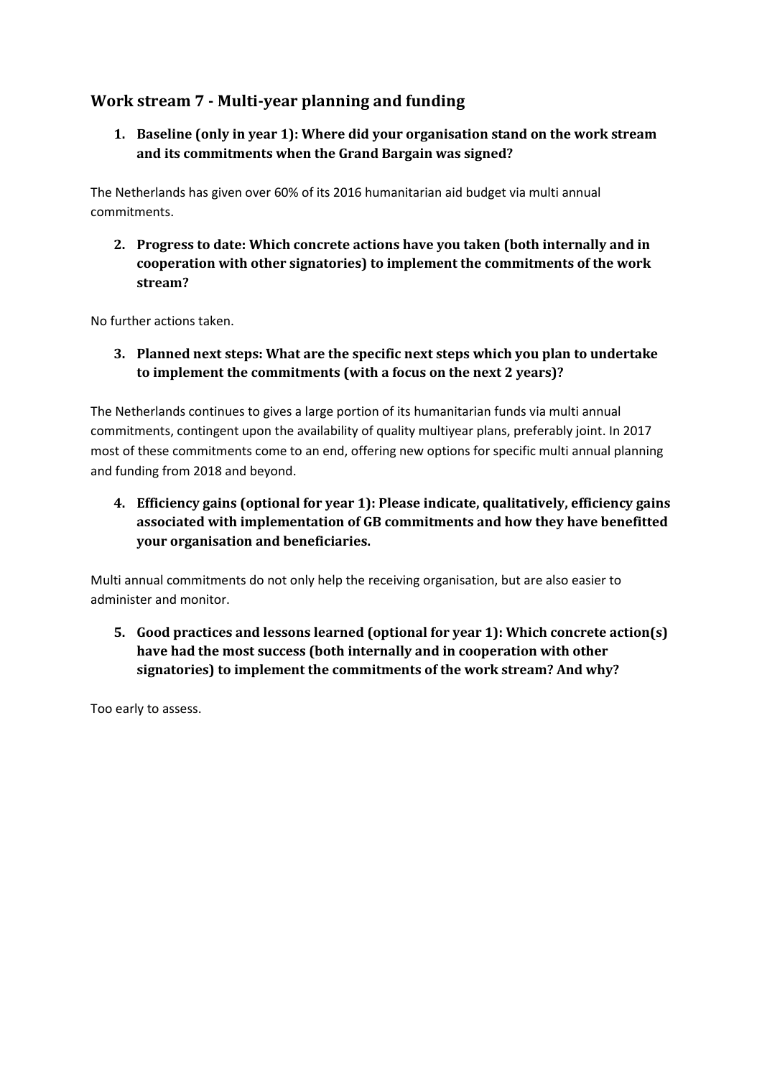## <span id="page-11-1"></span><span id="page-11-0"></span>**Work stream 7 - Multi-year planning and funding**

**1. Baseline (only in year 1): Where did your organisation stand on the work stream and its commitments when the Grand Bargain was signed?**

The Netherlands has given over 60% of its 2016 humanitarian aid budget via multi annual commitments.

<span id="page-11-2"></span>**2. Progress to date: Which concrete actions have you taken (both internally and in cooperation with other signatories) to implement the commitments of the work stream?** 

<span id="page-11-3"></span>No further actions taken.

**3. Planned next steps: What are the specific next steps which you plan to undertake to implement the commitments (with a focus on the next 2 years)?**

The Netherlands continues to gives a large portion of its humanitarian funds via multi annual commitments, contingent upon the availability of quality multiyear plans, preferably joint. In 2017 most of these commitments come to an end, offering new options for specific multi annual planning and funding from 2018 and beyond.

<span id="page-11-4"></span>**4. Efficiency gains (optional for year 1): Please indicate, qualitatively, efficiency gains associated with implementation of GB commitments and how they have benefitted your organisation and beneficiaries.**

Multi annual commitments do not only help the receiving organisation, but are also easier to administer and monitor.

<span id="page-11-5"></span>**5. Good practices and lessons learned (optional for year 1): Which concrete action(s) have had the most success (both internally and in cooperation with other signatories) to implement the commitments of the work stream? And why?**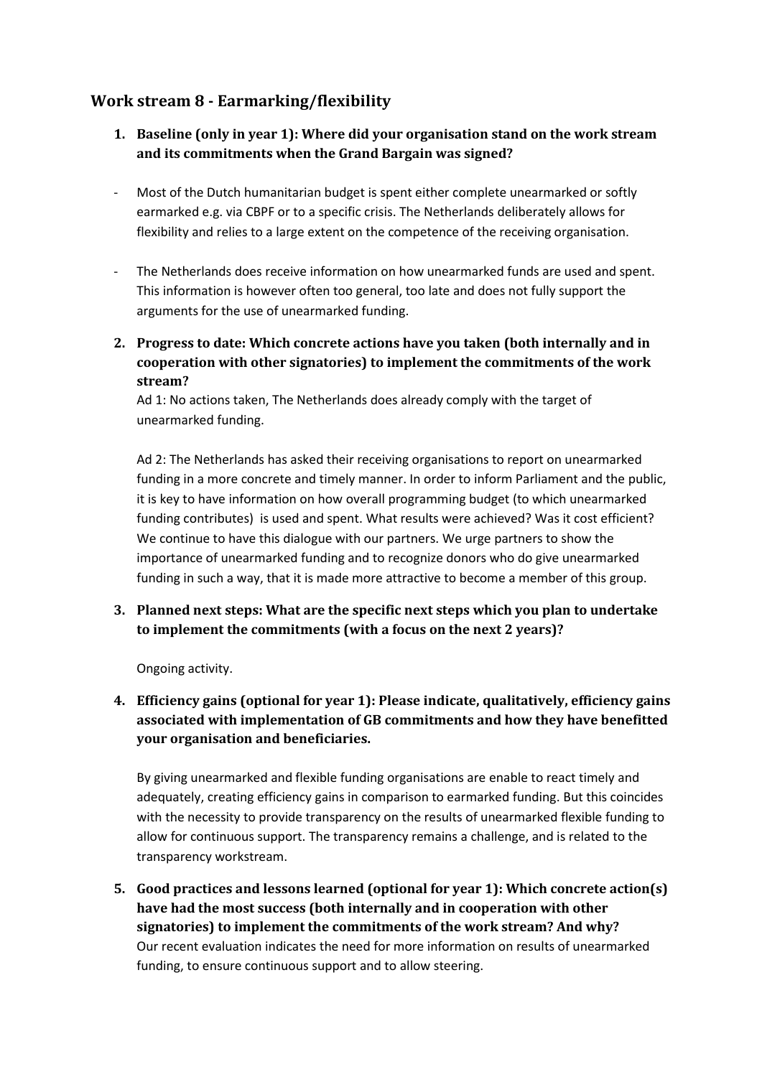## <span id="page-12-1"></span><span id="page-12-0"></span>**Work stream 8 - Earmarking/flexibility**

- **1. Baseline (only in year 1): Where did your organisation stand on the work stream and its commitments when the Grand Bargain was signed?**
- Most of the Dutch humanitarian budget is spent either complete unearmarked or softly earmarked e.g. via CBPF or to a specific crisis. The Netherlands deliberately allows for flexibility and relies to a large extent on the competence of the receiving organisation.
- The Netherlands does receive information on how unearmarked funds are used and spent. This information is however often too general, too late and does not fully support the arguments for the use of unearmarked funding.
- <span id="page-12-2"></span>**2. Progress to date: Which concrete actions have you taken (both internally and in cooperation with other signatories) to implement the commitments of the work stream?**

Ad 1: No actions taken, The Netherlands does already comply with the target of unearmarked funding.

Ad 2: The Netherlands has asked their receiving organisations to report on unearmarked funding in a more concrete and timely manner. In order to inform Parliament and the public, it is key to have information on how overall programming budget (to which unearmarked funding contributes) is used and spent. What results were achieved? Was it cost efficient? We continue to have this dialogue with our partners. We urge partners to show the importance of unearmarked funding and to recognize donors who do give unearmarked funding in such a way, that it is made more attractive to become a member of this group.

<span id="page-12-3"></span>**3. Planned next steps: What are the specific next steps which you plan to undertake to implement the commitments (with a focus on the next 2 years)?**

Ongoing activity.

<span id="page-12-4"></span>**4. Efficiency gains (optional for year 1): Please indicate, qualitatively, efficiency gains associated with implementation of GB commitments and how they have benefitted your organisation and beneficiaries.**

By giving unearmarked and flexible funding organisations are enable to react timely and adequately, creating efficiency gains in comparison to earmarked funding. But this coincides with the necessity to provide transparency on the results of unearmarked flexible funding to allow for continuous support. The transparency remains a challenge, and is related to the transparency workstream.

<span id="page-12-5"></span>**5. Good practices and lessons learned (optional for year 1): Which concrete action(s) have had the most success (both internally and in cooperation with other signatories) to implement the commitments of the work stream? And why?** Our recent evaluation indicates the need for more information on results of unearmarked funding, to ensure continuous support and to allow steering.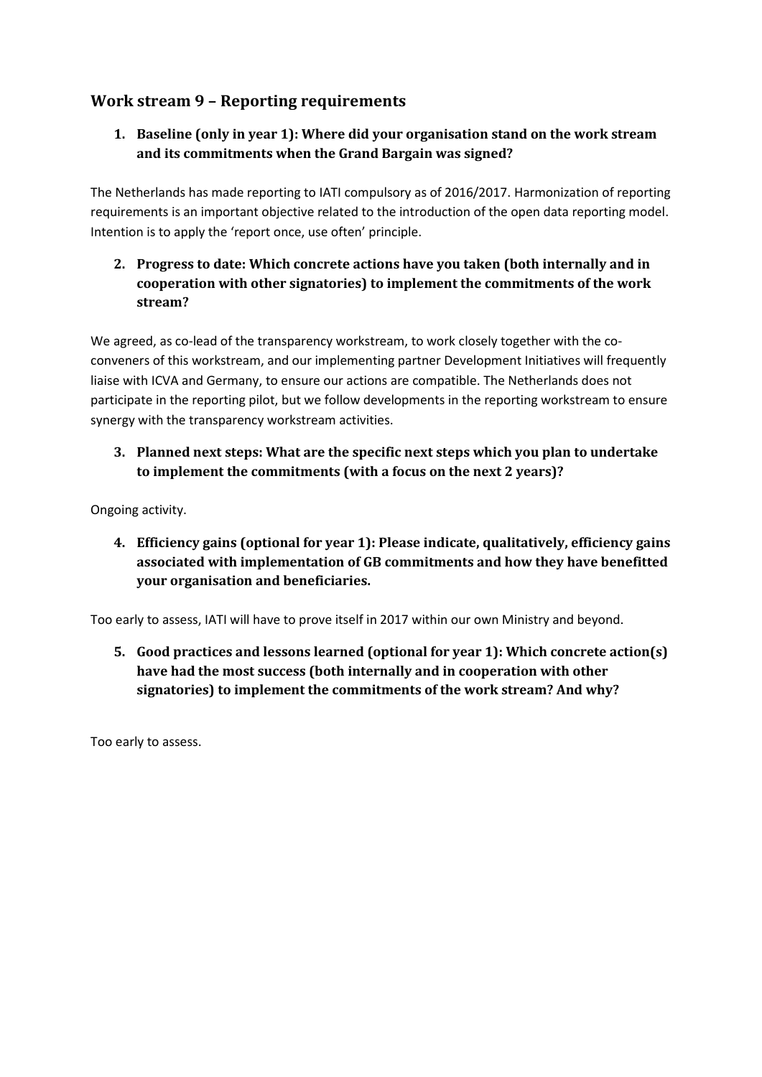## <span id="page-13-1"></span><span id="page-13-0"></span>**Work stream 9 – Reporting requirements**

#### **1. Baseline (only in year 1): Where did your organisation stand on the work stream and its commitments when the Grand Bargain was signed?**

The Netherlands has made reporting to IATI compulsory as of 2016/2017. Harmonization of reporting requirements is an important objective related to the introduction of the open data reporting model. Intention is to apply the 'report once, use often' principle.

#### <span id="page-13-2"></span>**2. Progress to date: Which concrete actions have you taken (both internally and in cooperation with other signatories) to implement the commitments of the work stream?**

We agreed, as co-lead of the transparency workstream, to work closely together with the coconveners of this workstream, and our implementing partner Development Initiatives will frequently liaise with ICVA and Germany, to ensure our actions are compatible. The Netherlands does not participate in the reporting pilot, but we follow developments in the reporting workstream to ensure synergy with the transparency workstream activities.

<span id="page-13-3"></span>**3. Planned next steps: What are the specific next steps which you plan to undertake to implement the commitments (with a focus on the next 2 years)?**

<span id="page-13-4"></span>Ongoing activity.

**4. Efficiency gains (optional for year 1): Please indicate, qualitatively, efficiency gains associated with implementation of GB commitments and how they have benefitted your organisation and beneficiaries.**

<span id="page-13-5"></span>Too early to assess, IATI will have to prove itself in 2017 within our own Ministry and beyond.

**5. Good practices and lessons learned (optional for year 1): Which concrete action(s) have had the most success (both internally and in cooperation with other signatories) to implement the commitments of the work stream? And why?**